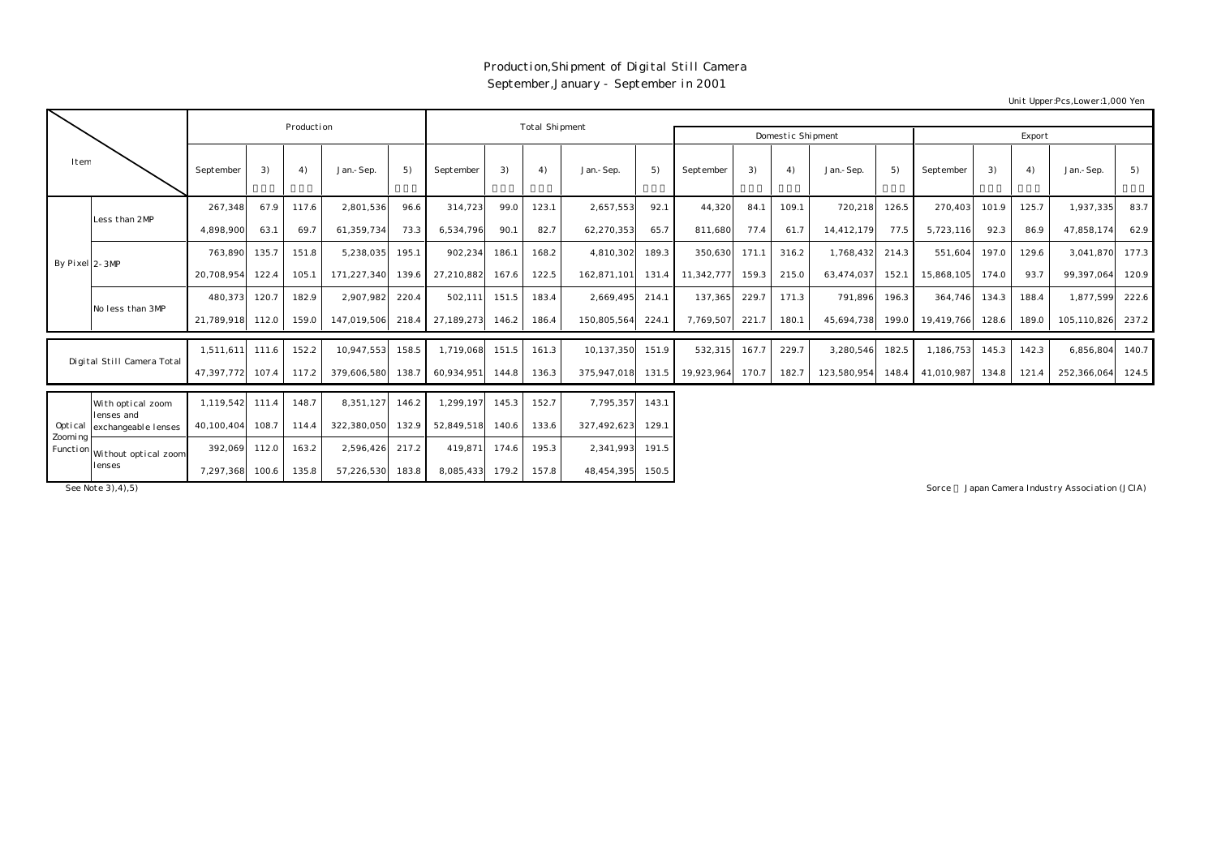## Production,Shipment of Digital Still Camera September,January - September in 2001

Unit Upper:Pcs,Lower:1,000 Yen

|                      |                                 |                  | Production |       |             |       | Total Shipment |       |       |             |       |                  |                   |        |             |       |            |       |       |             |       |
|----------------------|---------------------------------|------------------|------------|-------|-------------|-------|----------------|-------|-------|-------------|-------|------------------|-------------------|--------|-------------|-------|------------|-------|-------|-------------|-------|
|                      |                                 |                  |            |       |             |       |                |       |       |             |       |                  | Domestic Shipment | Export |             |       |            |       |       |             |       |
| Item                 |                                 | September        | 3)         | 4)    | Jan.-Sep.   | 5)    | September      | 3)    | 4)    | Jan.-Sep.   | 5)    | September        | 3)                | 4)     | Jan.-Sep.   | 5)    | September  | 3)    | 4)    | Jan.-Sep.   | 5)    |
|                      | Less than 2MP                   | 267,348          | 67.9       | 117.6 | 2,801,536   | 96.6  | 314,723        | 99.0  | 123.1 | 2,657,553   | 92.1  | 44,320           | 84.1              | 109.1  | 720,218     | 126.5 | 270,403    | 101.9 | 125.7 | 1,937,335   | 83.7  |
|                      |                                 | 4.898.900        | 63.1       | 69.7  | 61.359.734  | 73.3  | 6.534.796      | 90.1  | 82.7  | 62,270,353  | 65.7  | 811.680          | 77.4              | 61.7   | 14,412,179  | 77.5  | 5,723,116  | 92.3  | 86.9  | 47,858,174  | 62.9  |
| By Pixel 2-3MP       |                                 | 763,890          | 135.7      | 151.8 | 5,238,035   | 195.1 | 902,234        | 186.1 | 168.2 | 4,810,302   | 189.3 | 350,630          | 171.1             | 316.2  | 1,768,432   | 214.3 | 551,604    | 197.0 | 129.6 | 3,041,870   | 177.3 |
|                      |                                 | 20,708,954       | 122.4      | 105.1 | 171,227,340 | 139.6 | 27,210,882     | 167.6 | 122.5 | 162.871.101 |       | 131.4 11,342,777 | 159.3             | 215.0  | 63,474,037  | 152.1 | 15,868,105 | 174.0 | 93.7  | 99,397,064  | 120.9 |
|                      | No less than 3MP                | 480,373          | 120.7      | 182.9 | 2,907,982   | 220.4 | 502,111        | 151.5 | 183.4 | 2,669,495   | 214.1 | 137,365          | 229.7             | 171.3  | 791,896     | 196.3 | 364,746    | 134.3 | 188.4 | 1,877,599   | 222.6 |
|                      |                                 | 21,789,918 112.0 |            | 159.0 | 147,019,506 | 218.4 | 27,189,273     | 146.2 | 186.4 | 150,805,564 | 224.1 | 7,769,507        | 221.7             | 180.1  | 45,694,738  | 199.0 | 19.419.766 | 128.6 | 189.0 | 105,110,826 | 237.2 |
|                      |                                 | 1.511.611        | 111.6      | 152.2 | 10.947.553  | 158.5 | 1.719.068      | 151.5 | 161.3 | 10.137.350  | 151.9 | 532,315          | 167.7             | 229.7  | 3,280,546   | 182.5 | 1,186,753  | 145.3 | 142.3 | 6,856,804   | 140.7 |
|                      | Digital Still Camera Total      | 47,397,772       | 107.4      | 117.2 | 379,606,580 | 138.7 | 60,934,951     | 144.8 | 136.3 | 375,947,018 | 131.5 | 19,923,964       | 170.7             | 182.7  | 123,580,954 | 148.4 | 41,010,987 | 134.8 | 121.4 | 252,366,064 | 124.5 |
|                      | With optical zoom<br>Lenses and | 1,119,542        | 111.4      | 148.7 | 8,351,127   | 146.2 | 1,299,197      | 145.3 | 152.7 | 7,795,357   | 143.1 |                  |                   |        |             |       |            |       |       |             |       |
| Optical              | exchangeable lenses             | 40.100.404       | 108.7      | 114.4 | 322,380,050 | 132.9 | 52.849.518     | 140.6 | 133.6 | 327,492,623 | 129.1 |                  |                   |        |             |       |            |       |       |             |       |
| Zoomi ng<br>Function | Without optical zoom<br>lenses  | 392,069          | 112.0      | 163.2 | 2,596,426   | 217.2 | 419,871        | 174.6 | 195.3 | 2,341,993   | 191.5 |                  |                   |        |             |       |            |       |       |             |       |
|                      |                                 | 7,297,368        | 100.6      | 135.8 | 57,226,530  | 183.8 | 8,085,433      | 179.2 | 157.8 | 48,454,395  | 150.5 |                  |                   |        |             |       |            |       |       |             |       |

Sorce 3),4),5) Sorce 3,4),5) Sorce 3,4),5) Sorce 3,4),5) Sorce 3,4),5) Sorce 3,4),5) Sorce 3,4),5) Sorce 3,4),5